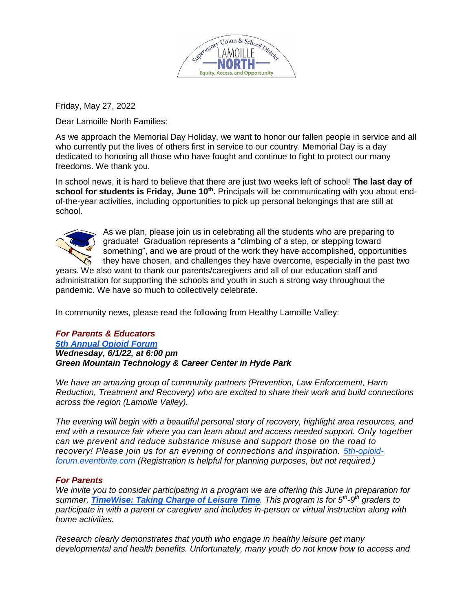

Friday, May 27, 2022

Dear Lamoille North Families:

As we approach the Memorial Day Holiday, we want to honor our fallen people in service and all who currently put the lives of others first in service to our country. Memorial Day is a day dedicated to honoring all those who have fought and continue to fight to protect our many freedoms. We thank you.

In school news, it is hard to believe that there are just two weeks left of school! **The last day of school for students is Friday, June 10th .** Principals will be communicating with you about endof-the-year activities, including opportunities to pick up personal belongings that are still at school.



As we plan, please join us in celebrating all the students who are preparing to graduate! Graduation represents a "climbing of a step, or stepping toward something", and we are proud of the work they have accomplished, opportunities they have chosen, and challenges they have overcome, especially in the past two

years. We also want to thank our parents/caregivers and all of our education staff and administration for supporting the schools and youth in such a strong way throughout the pandemic. We have so much to collectively celebrate.

In community news, please read the following from Healthy Lamoille Valley:

## *For Parents & Educators [5th Annual](https://www.healthylamoillevalley.org/5th-annual-opioid-forum/) Opioid Forum Wednesday, 6/1/22, at 6:00 pm Green Mountain Technology & Career Center in Hyde Park*

*We have an amazing group of community partners (Prevention, Law Enforcement, Harm Reduction, Treatment and Recovery) who are excited to share their work and build connections across the region (Lamoille Valley).*

*The evening will begin with a beautiful personal story of recovery, highlight area resources, and end with a resource fair where you can learn about and access needed support. Only together can we prevent and reduce substance misuse and support those on the road to recovery! Please join us for an evening of connections and inspiration. [5th-opioid](https://5th-opioid-forum.eventbrite.com/)[forum.eventbrite.com](https://5th-opioid-forum.eventbrite.com/) (Registration is helpful for planning purposes, but not required.)*

## *For Parents*

*We invite you to consider participating in a program we are offering this June in preparation for summer, [TimeWise: Taking Charge of Leisure](https://www.healthylamoillevalley.org/timewise/) Time. This program is for 5th -9 th graders to participate in with a parent or caregiver and includes in-person or virtual instruction along with home activities.*

*Research clearly demonstrates that youth who engage in healthy leisure get many developmental and health benefits. Unfortunately, many youth do not know how to access and*